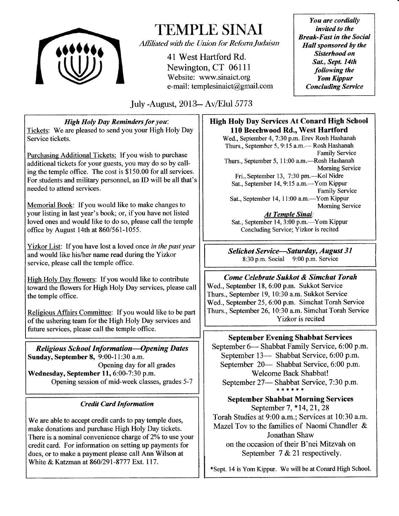

# TEMPLE SINAI

Affiliated with the Union for Reform Judaism

41 West Hartford Rd. Newington, CT 06111 Website: www.sinaict.org e-mail: templesinaict@grnail.com

You are cordially invited to the Break-Fast in the Social Hall sponsored by the Sisterhood on Sat., Sept. 14th following the Yom Kippur Concluding Service

July -August, 2013- Av/Elul 5773

High Holy Day Reminders for you: Tickets: We are pleased to send you your High Holy Day Service tickets.

Purchasing Additional Tickets: If you wish to purchase additional tickets for your guests, you may do so by calling the temple office. The cost is \$150.00 for all services. For students and military personnel, an ID will be all that's needed to attend services.

Memorial Book: If you would like to make changes to your listing in last year's book; or, if you have not listed loved ones and would like to do so, please call the temple office by August 14th at 860/561-1055.

Yizkor List: If you have lost a loved once in the past year and would like his/her name read during the Yizkor service, please call the temple office.

High Holy Day flowers: If you would like to contribute toward the flowers for High Holy Day services, please call the temple office.

Religious Affairs Committee: If you would like to be part of the ushering team for the High Holy Day services and future services, please call the temple office.

**Religious School Information-Opening Dates** Sunday, September 8, 9:00-11:30 a.m. Opening day for all grades Wednesday, September 11, 6:00-7:30 p.m. Opening session of mid-week classes, grades 5-7

# **Credit Card Information**

We are able to accept credit cards to pay temple dues, make donations and purchase High Holy Day tickets. There is a nominal convenience charge of  $2\%$  to use your credit card. For information on setting up payments for dues, or to make a payment please call Ann Wilson at White & Katzman at 860/291-8777 Ext. 117.

## High Holy Day Services At Conard High School 110 Beechwood Rd., West Hartford

Wed., September 4, 7:30 p.m. Erev Rosh Hashanah Thurs., September 5, 9:15 a.m.— Rosh Hashanah Family Service Thurs., September 5, 11:00 a.m. - Rosh Hashanah Morning Service Fri., September 13, 7:30 pm.-Kol Nidre Sat., September 14, 9:15 a.m.—Yom Kippur Family Service Sat., September 14, 11:00 a.m.—Yom Kippur Mornine Service

At Temple Sinai: Sat., September 14, 3:00 p.m.—Yom Kippur Concluding Service; Yizkor is recited

Selichot Service-Saturday, August 31 8:30 p.m. Sociai 9:00 p.m. Service

Come Celebrate Sukkot & Simchat Torah Wed., September 18, 6:00 p.m. Sukkot Service

Thurs., Septernber 19, 10:30 a.m. Sukkot Service Wed., September 25,6:00 p.m. Simchat Torah Service Thurs., September 26, 10:30 a.m. Simchat Torah Service Yizkor is recited

# September Evening Shabbat Services

September 6- Shabbat Family Service, 6:00 p.m. September 13- Shabbat Service, 6:00 p.m. September 20— Shabbat Service, 6:00 p.m. Welcome Back Shabbat! September 27— Shabbat Service, 7:30 p.m.

September Shabbat Morning Services September 7,\*14,21,28 Torah Studies at 9:00 a.m.: Services at 10:30 a.m. Mazel Tov to the families of Naomi Chandler & Jonathan Shaw on the occasion of their B'nei Mitzvah on September 7 & 21 respectively.

\*Sept. 14 is Yom Kippur. We will be at Conard High School.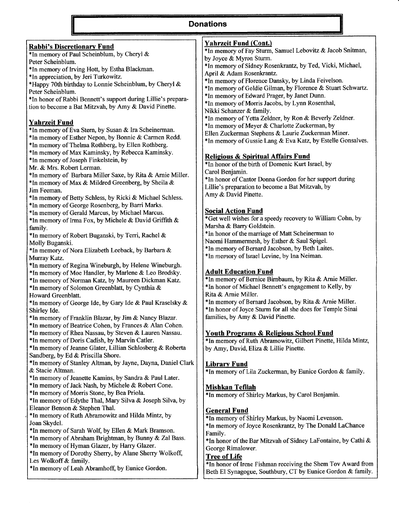# Donations

| <b>Rabbi's Discretionary Fund</b>                             | <b>Yahrzeit Fund (Cont.)</b>                                  |
|---------------------------------------------------------------|---------------------------------------------------------------|
| *In memory of Paul Scheinblum, by Cheryl &                    | *In memory of Fay Sturm, Samuel Lebovitz & Jacob Snitman,     |
| Peter Scheinblum.                                             | by Joyce & Myron Sturm.                                       |
| *In memory of Irving Hott, by Estha Blackman.                 | *In memory of Sidney Rosenkrantz, by Ted, Vicki, Michael,     |
| *In appreciation, by Jeri Turkowitz.                          | April & Adam Rosenkrantz.                                     |
| *Happy 70th birthday to Lonnie Scheinblum, by Cheryl &        | *In memory of Florence Dansky, by Linda Feivelson.            |
|                                                               | *In memory of Goldie Gilman, by Florence & Stuart Schwartz.   |
| Peter Scheinblum.                                             | *In memory of Edward Prager, by Janet Dunn.                   |
| *In honor of Rabbi Bennett's support during Lillie's prepara- | *In memory of Morris Jacobs, by Lynn Rosenthal,               |
| tion to become a Bat Mitzvah, by Amy & David Pinette.         | Nikki Schanzer & family.                                      |
|                                                               | *In memory of Yetta Zeldner, by Ron & Beverly Zeldner.        |
| <b>Yahrzeit Fund</b>                                          | *In memory of Meyer & Charlotte Zuckerman, by                 |
| *In memory of Eva Stern, by Susan & Ira Scheinerman.          | Ellen Zuckerman Stephens & Laurie Zuckerman Miner.            |
| *In memory of Esther Nepon, by Bonnie & Carmen Redd.          | *In memory of Gussie Lang & Eva Katz, by Estelle Gonsalves.   |
| *In memory of Thelma Rothberg, by Ellen Rothberg.             |                                                               |
| *In memory of Max Kaminsky, by Rebecca Kaminsky.              |                                                               |
| *In memory of Joseph Finkelstein, by                          | <b>Religious &amp; Spiritual Affairs Fund</b>                 |
| Mr. & Mrs. Robert Lerman.                                     | *In honor of the birth of Domenic Kurt Israel, by             |
| *In memory of Barbara Miller Saxe, by Rita & Arnie Miller.    | Carol Benjamin.                                               |
| *In memory of Max & Mildred Greenberg, by Sheila &            | *In honor of Cantor Donna Gordon for her support during       |
| Jim Feeman.                                                   | Lillie's preparation to become a Bat Mitzvah, by              |
| *In memory of Betty Schless, by Ricki & Michael Schless.      | Amy & David Pinette.                                          |
| *In memory of George Rosenberg, by Barri Marks.               |                                                               |
|                                                               | <b>Social Action Fund</b>                                     |
| *In memory of Gerald Marcus, by Michael Marcus.               | *Get well wishes for a speedy recovery to William Cohn, by    |
| *In memory of Irma Fox, by Michele & David Griffith &         | Marsha & Barry Goldstein.                                     |
| family.                                                       | *In honor of the marriage of Matt Scheinerman to              |
| *In memory of Robert Buganski, by Terri, Rachel &             | Naomi Hammermesh, by Esther & Saul Spigel.                    |
| Molly Buganski.                                               |                                                               |
| *In memory of Nora Elizabeth Leeback, by Barbara &            | *In memory of Bernard Jacobson, by Beth Laites.               |
| Murray Katz.                                                  | *In memory of Israel Levine, by Ina Neiman.                   |
| *In memory of Regina Wineburgh, by Helene Wineburgh.          |                                                               |
| *In memory of Moe Handler, by Marlene & Leo Brodsky.          | <b>Adult Education Fund</b>                                   |
| *In memory of Norman Katz, by Maureen Dickman Katz.           | *In memory of Bernice Birnbaum, by Rita & Arnie Miller.       |
| *In memory of Solomon Greenblatt, by Cynthia &                | *In honor of Michael Bennett's engagement to Kelly, by        |
| Howard Greenblatt.                                            | Rita & Arnie Miller.                                          |
| *In memory of George Ide, by Gary Ide & Paul Kraselsky &      | *In memory of Bernard Jacobson, by Rita & Arnie Miller.       |
| Shirley Ide.                                                  | *In honor of Joyce Sturm for all she does for Temple Sinai    |
| *In memory of Franklin Blazar, by Jim & Nancy Blazar.         | families, by Amy & David Pinette.                             |
| *In memory of Beatrice Cohen, by Frances & Alan Cohen.        |                                                               |
| *In memory of Rhea Nassau, by Steven & Lauren Nassau.         | <b>Youth Programs &amp; Religious School Fund</b>             |
| *In memory of Doris Cadish, by Marvin Catler.                 | *In memory of Ruth Abramowitz, Gilbert Pinette, Hilda Mintz,  |
| *In memory of Jeanne Glater, Lillian Schlosberg & Roberta     | by Amy, David, Eliza & Lillie Pinette.                        |
| Sandberg, by Ed & Priscilla Shore.                            |                                                               |
| *In memory of Stanley Altman, by Jayne, Dayna, Daniel Clark   | <b>Library Fund</b>                                           |
| & Stacie Altman.                                              | *In memory of Lila Zuckerman, by Eunice Gordon & family.      |
| *In memory of Jeanette Kamins, by Sandra & Paul Later.        |                                                               |
| *In memory of Jack Nash, by Michele & Robert Cone.            |                                                               |
| *In memory of Morris Stone, by Bea Priola.                    | <b>Mishkan Tefilah</b>                                        |
|                                                               | *In memory of Shirley Markus, by Carol Benjamin.              |
| *In memory of Edythe Thal, Mary Silva & Joseph Silva, by      |                                                               |
| Eleanor Benson & Stephen Thal.                                | <b>General Fund</b>                                           |
| *In memory of Ruth Abramowitz and Hilda Mintz, by             | *In memory of Shirley Markus, by Naomi Levenson.              |
| Joan Skydel.                                                  | *In memory of Joyce Rosenkrantz, by The Donald LaChance       |
| *In memory of Sarah Wolf, by Ellen & Mark Bramson.            | Family.                                                       |
| *In memory of Abraham Brightman, by Bunny & Zal Bass.         | *In honor of the Bar Mitzvah of Sidney LaFontaine, by Cathi & |
| *In memory of Hyman Glazer, by Harry Glazer.                  | George Rimalower.                                             |
| *In memory of Dorothy Sherry, by Alane Sherry Wolkoff,        | <b>Tree of Life</b>                                           |
| Les Wolkoff & family.                                         | *In honor of Irene Fishman receiving the Shem Tov Award from  |
| *In memory of Leah Abramhoff, by Eunice Gordon.               | Beth El Synagogue, Southbury, CT by Eunice Gordon & family.   |
|                                                               |                                                               |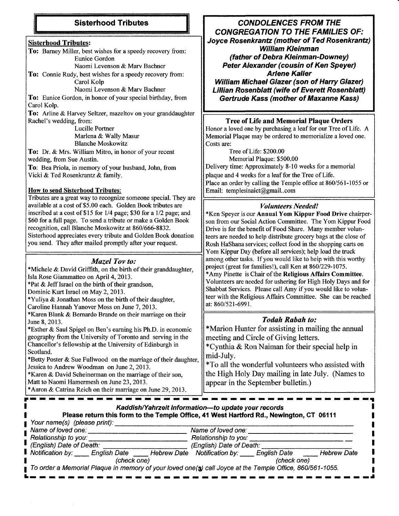# Sisterhood Tributes

#### Sisterhood Tributes:

To: Barney Miller, best wishes for a speedy recovery from: Eunice Gordon

Naomi Levenson & Marv Bachner

To: Connie Rudy, best wishes for a speedy recovery from: Carol Kolp

Naomi Levenson & Marv Bachner

To: Eunice Gordon, in honor of your special birthday, from Carol Kolp.

To: Arline & Harvey Seltzer, mazeltov on your granddaughter Rachel's wedding, from:

Lucille Portner Marlena & Wally Masur Blanche Moskowitz

To: Dr. & Mrs. William Mitro, in honor of your recent wedding, from Sue Austin.

To: Bea Priola, in memory of your husband, John, from Vicki & Ted Rosenkrantz & family.

#### How to send Sisterhood Tributes:

Tributes are a great way to recognize someone special. They are available at a cost of \$5.00 each. Golden Book tributes are inscribed at a cost of \$15 for  $1/4$  page; \$30 for a  $1/2$  page; and \$60 for a full page. To send a tribute or make a Golden Book recognition, call Blanche Moskowitz at 860/666-8832. Sisterhood appreciates every tribute and Golden Book donation you send. They after mailed promptly after your request.

#### Muzel Tov to:

\*Michele & David Griffrth, on the birth of their granddaughter, Isla Rose Giammatteo on April 4,2013. \*Pat & JeffIsrael on the birth of their grandson,

Dominic Kurt Israel on May 2,2013.

\*Yuliya & Jonathan Moss on the birth of their daughter,

Caroline Hannah Yanover Moss on June 7, 2013.

\*Karen Blank & Bernardo Brande on their marriage on their June 8, 2013.

\*Esther & Saul Spigel on Ben's eaming his Ph.D. in economic geography from the University of Toronto and serving in the Chancellor's fellowship at the University of Edinburgh in Scotland.

\*Betty Poster & Sue Fullwood on the marriage of their daughter, Jessica to Andrew Woodman on June 2,2013.

\*Karen & David Scheinerman on the marriage of their son, Matt to Naomi Hamermesh on June 23,2013.

\*Aaron & Cafina Reich on their marriage on June 29,2013.

-r

-rr

CONDOLENCES FROM THE CONGREGATION TO THE FAMILIES OF: Joyce Rosenkrantz (mother of Ted Rosenkrantz) William Kleinman (father of Debra Kleinman-Downey) Peter Alexander (cousin of Ken Speyer) Arlene Kaller

William Michael Glazer (son of Harry Glazer) **Lillian Rosenblatt (wife of Everett Rosenblatt)** Gertrude Kass (mother of Maxanne Kass/

#### Tree of Life and Memorial Plaque Orders

Honor a loved one by purchasing a leaf for our Tree of Life. A Memorial Plaque may be ordered to memorialize a loved one. Costs are:

Tree of Life: \$200.00 Memorial Plaque: \$500.00 Delivery time: Approximately 8-10 weeks for a memorial plaque and 4 weeks for a leaf for the Tree of Life. Place an order by calling the Temple office at 860/561-1055 or Email: templeshaict@gmail..com

#### Volunteers Needed!

\*Ken Speyer is our Annual Yom Kippur Food Drive chairperson from our Social Action Committee. The Yom Kippur Food Drive is for the benefit of Food Share. Many member volunteers are needed to help distribute grocery bags at the close of Rosh HaShana services; collect food in the shopping carts on Yom Kippur Day (before all services); help load the truck among other tasks. If you would iike to heip with this worthy project (great for families!), call Ken at 860/229-1075. \*Amy Pinette is Chair of the Religious Affairs Committee. Volunteers are needed for ushering for High Holy Days and for Shabbat Services. Please call Amy if you would like to volunteer with the Religious Affairs Committee. She can be reached at: 860/521-6991.

## Todah Rabah to:

\*Marion Hunter for assisting in mailing the annual meeting and Circle of Giving letters.

\*Cynthia  $&$  Ron Naiman for their special help in mid-July.

\*To all the wonderful volunteers who assisted with the High Holy Day mailing in late July. (Names to appear in the September bulletin.)

rl

| Kaddish/Yahrzeit Information-to update your records<br>Please return this form to the Temple Office, 41 West Hartford Rd., Newington, CT 06111<br>Your name(s) (please print): |                          |  |
|--------------------------------------------------------------------------------------------------------------------------------------------------------------------------------|--------------------------|--|
| Name of loved one:                                                                                                                                                             | Name of loved one:       |  |
| Relationship to you:                                                                                                                                                           | Relationship to you:     |  |
| (English) Date of Death:                                                                                                                                                       | (English) Date of Death: |  |
| Notification by: English Date (English Date Netw Date Notification by: English Date                                                                                            | <b>Hebrew Date</b>       |  |
| (check one)                                                                                                                                                                    | (check one)              |  |
| To order a Memorial Plaque in memory of your loved one(3) call Joyce at the Temple Office, 860/561-1055.                                                                       |                          |  |

-r -r

r --r